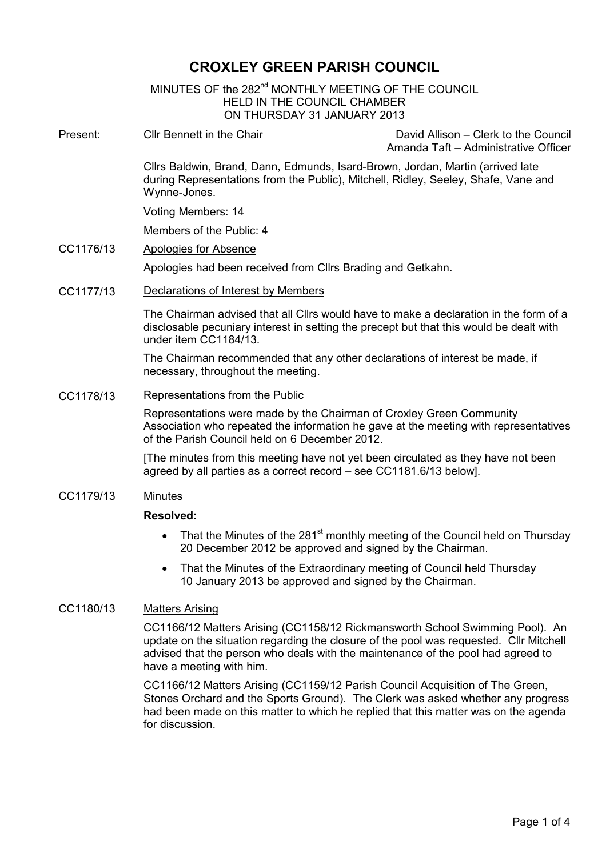# CROXLEY GREEN PARISH COUNCIL

MINUTES OF the 282<sup>nd</sup> MONTHLY MEETING OF THE COUNCIL HELD IN THE COUNCIL CHAMBER ON THURSDAY 31 JANUARY 2013 Ì

Present: Cllr Bennett in the Chair David Allison – Clerk to the Council

Amanda Taft – Administrative Officer

Cllrs Baldwin, Brand, Dann, Edmunds, Isard-Brown, Jordan, Martin (arrived late during Representations from the Public), Mitchell, Ridley, Seeley, Shafe, Vane and Wynne-Jones.

Voting Members: 14

Members of the Public: 4

#### CC1176/13 Apologies for Absence

Apologies had been received from Cllrs Brading and Getkahn.

## CC1177/13 Declarations of Interest by Members

The Chairman advised that all Cllrs would have to make a declaration in the form of a disclosable pecuniary interest in setting the precept but that this would be dealt with under item CC1184/13.

The Chairman recommended that any other declarations of interest be made, if necessary, throughout the meeting.

#### CC1178/13 Representations from the Public

Representations were made by the Chairman of Croxley Green Community Association who repeated the information he gave at the meeting with representatives of the Parish Council held on 6 December 2012.

[The minutes from this meeting have not yet been circulated as they have not been agreed by all parties as a correct record – see CC1181.6/13 below].

## CC1179/13 Minutes

#### Resolved:

- That the Minutes of the 281<sup>st</sup> monthly meeting of the Council held on Thursday 20 December 2012 be approved and signed by the Chairman.
- That the Minutes of the Extraordinary meeting of Council held Thursday 10 January 2013 be approved and signed by the Chairman.

#### CC1180/13 Matters Arising

CC1166/12 Matters Arising (CC1158/12 Rickmansworth School Swimming Pool). An update on the situation regarding the closure of the pool was requested. Cllr Mitchell advised that the person who deals with the maintenance of the pool had agreed to have a meeting with him.

CC1166/12 Matters Arising (CC1159/12 Parish Council Acquisition of The Green, Stones Orchard and the Sports Ground). The Clerk was asked whether any progress had been made on this matter to which he replied that this matter was on the agenda for discussion.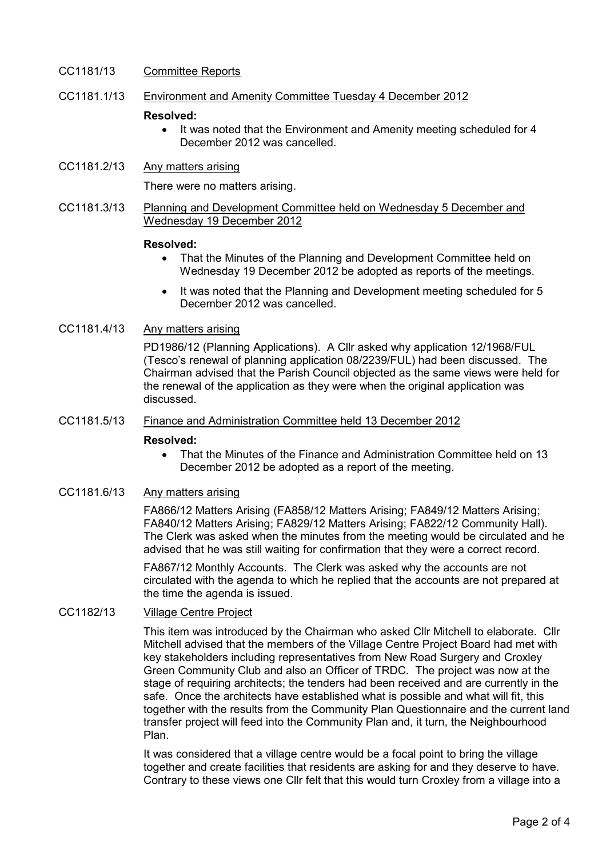# CC1181/13 Committee Reports

# CC1181.1/13 Environment and Amenity Committee Tuesday 4 December 2012

#### Resolved:

- It was noted that the Environment and Amenity meeting scheduled for 4 December 2012 was cancelled.
- CC1181.2/13 Any matters arising

There were no matters arising.

CC1181.3/13 Planning and Development Committee held on Wednesday 5 December and Wednesday 19 December 2012

## Resolved:

- That the Minutes of the Planning and Development Committee held on Wednesday 19 December 2012 be adopted as reports of the meetings.
- It was noted that the Planning and Development meeting scheduled for 5 December 2012 was cancelled.

# CC1181.4/13 Any matters arising

PD1986/12 (Planning Applications). A Cllr asked why application 12/1968/FUL (Tesco's renewal of planning application 08/2239/FUL) had been discussed. The Chairman advised that the Parish Council objected as the same views were held for the renewal of the application as they were when the original application was discussed.

## CC1181.5/13 Finance and Administration Committee held 13 December 2012

## Resolved:

• That the Minutes of the Finance and Administration Committee held on 13 December 2012 be adopted as a report of the meeting.

#### CC1181.6/13 Any matters arising

FA866/12 Matters Arising (FA858/12 Matters Arising; FA849/12 Matters Arising; FA840/12 Matters Arising; FA829/12 Matters Arising; FA822/12 Community Hall). The Clerk was asked when the minutes from the meeting would be circulated and he advised that he was still waiting for confirmation that they were a correct record.

FA867/12 Monthly Accounts. The Clerk was asked why the accounts are not circulated with the agenda to which he replied that the accounts are not prepared at the time the agenda is issued.

# CC1182/13 Village Centre Project

This item was introduced by the Chairman who asked Cllr Mitchell to elaborate. Cllr Mitchell advised that the members of the Village Centre Project Board had met with key stakeholders including representatives from New Road Surgery and Croxley Green Community Club and also an Officer of TRDC. The project was now at the stage of requiring architects; the tenders had been received and are currently in the safe. Once the architects have established what is possible and what will fit, this together with the results from the Community Plan Questionnaire and the current land transfer project will feed into the Community Plan and, it turn, the Neighbourhood Plan.

It was considered that a village centre would be a focal point to bring the village together and create facilities that residents are asking for and they deserve to have. Contrary to these views one Cllr felt that this would turn Croxley from a village into a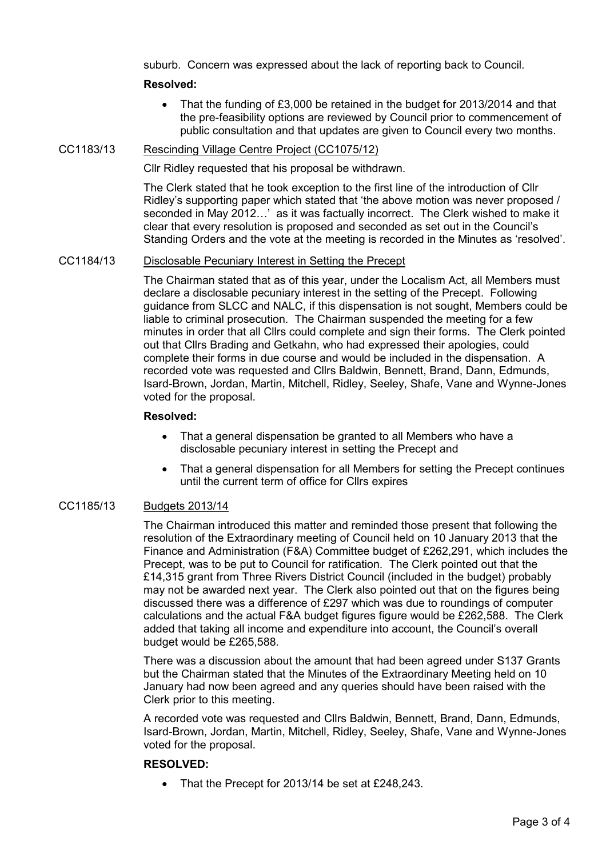suburb. Concern was expressed about the lack of reporting back to Council.

# Resolved:

• That the funding of £3,000 be retained in the budget for 2013/2014 and that the pre-feasibility options are reviewed by Council prior to commencement of public consultation and that updates are given to Council every two months.

## CC1183/13 Rescinding Village Centre Project (CC1075/12)

Cllr Ridley requested that his proposal be withdrawn.

The Clerk stated that he took exception to the first line of the introduction of Cllr Ridley's supporting paper which stated that 'the above motion was never proposed / seconded in May 2012…' as it was factually incorrect. The Clerk wished to make it clear that every resolution is proposed and seconded as set out in the Council's Standing Orders and the vote at the meeting is recorded in the Minutes as 'resolved'.

## CC1184/13 Disclosable Pecuniary Interest in Setting the Precept

The Chairman stated that as of this year, under the Localism Act, all Members must declare a disclosable pecuniary interest in the setting of the Precept. Following guidance from SLCC and NALC, if this dispensation is not sought, Members could be liable to criminal prosecution. The Chairman suspended the meeting for a few minutes in order that all Cllrs could complete and sign their forms. The Clerk pointed out that Cllrs Brading and Getkahn, who had expressed their apologies, could complete their forms in due course and would be included in the dispensation. A recorded vote was requested and Cllrs Baldwin, Bennett, Brand, Dann, Edmunds, Isard-Brown, Jordan, Martin, Mitchell, Ridley, Seeley, Shafe, Vane and Wynne-Jones voted for the proposal.

## Resolved:

- That a general dispensation be granted to all Members who have a disclosable pecuniary interest in setting the Precept and
- That a general dispensation for all Members for setting the Precept continues until the current term of office for Cllrs expires

# CC1185/13 Budgets 2013/14

The Chairman introduced this matter and reminded those present that following the resolution of the Extraordinary meeting of Council held on 10 January 2013 that the Finance and Administration (F&A) Committee budget of £262,291, which includes the Precept, was to be put to Council for ratification. The Clerk pointed out that the £14,315 grant from Three Rivers District Council (included in the budget) probably may not be awarded next year. The Clerk also pointed out that on the figures being discussed there was a difference of £297 which was due to roundings of computer calculations and the actual F&A budget figures figure would be £262,588. The Clerk added that taking all income and expenditure into account, the Council's overall budget would be £265,588.

There was a discussion about the amount that had been agreed under S137 Grants but the Chairman stated that the Minutes of the Extraordinary Meeting held on 10 January had now been agreed and any queries should have been raised with the Clerk prior to this meeting.

A recorded vote was requested and Cllrs Baldwin, Bennett, Brand, Dann, Edmunds, Isard-Brown, Jordan, Martin, Mitchell, Ridley, Seeley, Shafe, Vane and Wynne-Jones voted for the proposal.

## RESOLVED:

• That the Precept for 2013/14 be set at £248,243.